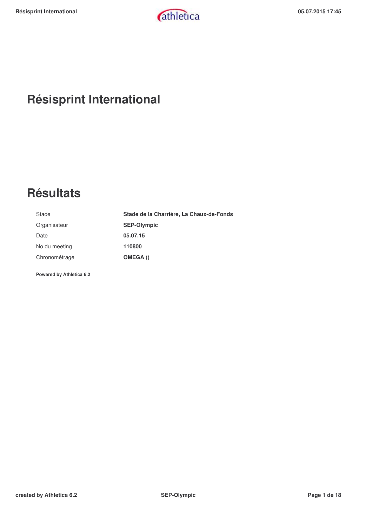# **Résisprint International**

# **Résultats**

| Stade         | Stade de la Charrière, La Chaux-de-Fonds |
|---------------|------------------------------------------|
| Organisateur  | <b>SEP-Olympic</b>                       |
| Date          | 05.07.15                                 |
| No du meeting | 110800                                   |
| Chronométrage | OMEGA()                                  |
|               |                                          |

**Powered by Athletica 6.2**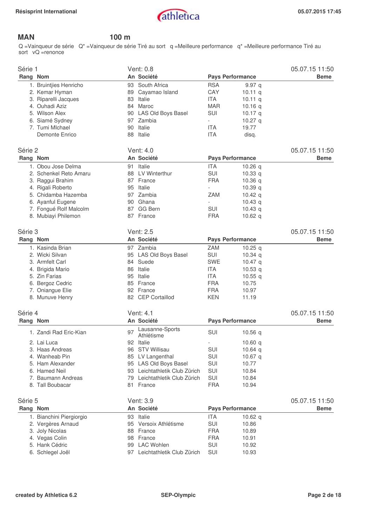

### **MAN 100 m**

Q =Vainqueur de série Q\* =Vainqueur de série Tiré au sort q =Meilleure performance q\* =Meilleure performance Tiré au sort vQ =renonce

| Série 1  |                          |    | <b>Vent: 0.8</b>              |            |                         | 05.07.15 11:50 |
|----------|--------------------------|----|-------------------------------|------------|-------------------------|----------------|
| Rang Nom |                          |    | An Société                    |            | <b>Pays Performance</b> | <b>Beme</b>    |
|          | 1. Bruintjies Henricho   |    | 93 South Africa               | <b>RSA</b> | 9.97q                   |                |
|          | 2. Kemar Hyman           |    | 89 Cayamao Island             | CAY        | 10.11 $q$               |                |
|          | 3. Riparelli Jacques     | 83 | Italie                        | <b>ITA</b> | 10.11 $q$               |                |
|          | 4. Ouhadi Aziz           | 84 | Maroc                         | <b>MAR</b> | 10.16 <sub>a</sub>      |                |
|          | 5. Wilson Alex           |    | 90 LAS Old Boys Basel         | <b>SUI</b> | 10.17 $q$               |                |
|          | 6. Siamé Sydney          | 97 | Zambia                        | $\sim$     | 10.27 $q$               |                |
|          | 7. Tumi Mlchael          | 90 | Italie                        | <b>ITA</b> | 19.77                   |                |
|          | Demonte Enrico           | 88 | Italie                        | <b>ITA</b> | disq.                   |                |
| Série 2  |                          |    | Vent: 4.0                     |            |                         | 05.07.15 11:50 |
| Rang Nom |                          |    | An Société                    |            | <b>Pays Performance</b> | <b>Beme</b>    |
|          | 1. Obou Jose Delma       | 91 | Italie                        | <b>ITA</b> | 10.26 $q$               |                |
|          | 2. Schenkel Reto Amaru   |    | 88 LV Winterthur              | <b>SUI</b> | 10.33 <sub>q</sub>      |                |
|          | 3. Raggui Brahim         |    | 87 France                     | <b>FRA</b> | 10.36q                  |                |
|          | 4. Rigali Roberto        |    | 95 Italie                     |            | 10.39 $q$               |                |
|          | 5. Chidamba Hazemba      | 97 | Zambia                        | <b>ZAM</b> | 10.42 $q$               |                |
|          | 6. Ayanful Eugene        | 90 | Ghana                         |            | 10.43 $q$               |                |
|          | 7. Fongué Rolf Malcolm   | 87 | <b>GG Bern</b>                | SUI        | 10.43 <sub>q</sub>      |                |
|          | 8. Mubiayi Philemon      |    | 87 France                     | <b>FRA</b> | 10.62 $q$               |                |
|          |                          |    | Vent: 2.5                     |            |                         |                |
| Série 3  |                          |    |                               |            |                         | 05.07.15 11:50 |
| Rang Nom |                          |    | An Société                    |            | <b>Pays Performance</b> | <b>Beme</b>    |
|          | 1. Kasinda Brian         |    | 97 Zambia                     | <b>ZAM</b> | 10.25 $q$               |                |
|          | 2. Wicki Silvan          |    | 95 LAS Old Boys Basel         | <b>SUI</b> | 10.34 $q$               |                |
|          | 3. Armfelt Carl          |    | 84 Suede                      | <b>SWE</b> | 10.47 $q$               |                |
|          | 4. Brigida Mario         | 86 | Italie                        | <b>ITA</b> | 10.53 $q$               |                |
|          | 5. Zin Farias            | 95 | Italie                        | <b>ITA</b> | 10.55 $q$               |                |
|          | 6. Bergoz Cedric         |    | 85 France                     | <b>FRA</b> | 10.75                   |                |
|          | 7. Oniangue Elie         |    | 92 France                     | <b>FRA</b> | 10.97                   |                |
|          | 8. Munuve Henry          |    | 82 CEP Cortaillod             | <b>KEN</b> | 11.19                   |                |
| Série 4  |                          |    | Vent: 4.1                     |            |                         | 05.07.15 11:50 |
| Rang Nom |                          |    | An Société                    |            | <b>Pays Performance</b> | <b>Beme</b>    |
|          | 1. Zandi Rad Eric-Kian   | 97 | Lausanne-Sports<br>Athlétisme | <b>SUI</b> | 10.56q                  |                |
|          | 2. Lai Luca              |    | 92 Italie                     |            | 10.60 $q$               |                |
|          | 3. Haas Andreas          |    | 96 STV Willisau               | SUI        | 10.64 $q$               |                |
|          | 4. Wanheab Pin           |    | 85 LV Langenthal              | SUI        | 10.67 q                 |                |
|          | 5. Ham Alexander         |    | 95 LAS Old Boys Basel         | SUI        | 10.77                   |                |
|          | 6. Hamed Neil            |    | 93 Leichtathletik Club Zürich | SUI        | 10.84                   |                |
|          | 7. Baumann Andreas       |    | 79 Leichtathletik Club Zürich | SUI        | 10.84                   |                |
|          | 8. Tall Boubacar         |    | 81 France                     | <b>FRA</b> | 10.94                   |                |
| Série 5  |                          |    | Vent: 3.9                     |            |                         | 05.07.15 11:50 |
|          |                          |    |                               |            |                         |                |
| Rang Nom |                          |    | An Société                    |            | <b>Pays Performance</b> | <b>Beme</b>    |
|          | 1. Bianchini Piergiorgio |    | 93 Italie                     | <b>ITA</b> | 10.62 <sub>a</sub>      |                |
|          | 2. Vergères Arnaud       |    | 95 Versoix Athlétisme         | SUI        | 10.86                   |                |
|          | 3. Joly Nicolas          |    | 88 France                     | <b>FRA</b> | 10.89                   |                |
|          | 4. Vegas Colin           |    | 98 France                     | <b>FRA</b> | 10.91                   |                |
|          | 5. Hank Cédric           |    | 99 LAC Wohlen                 | SUI        | 10.92                   |                |
|          | 6. Schlegel Joël         |    | 97 Leichtathletik Club Zürich | SUI        | 10.93                   |                |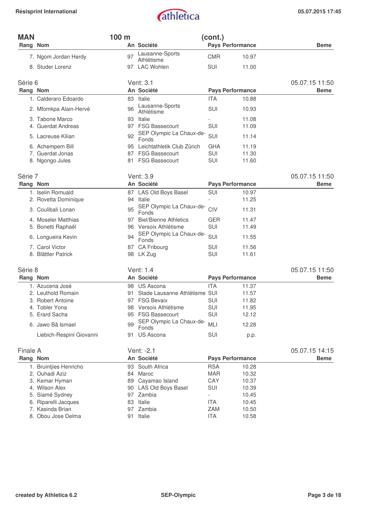| <b>MAN</b> |                          | 100 m |                                   | (cont.)                  |                         |                |
|------------|--------------------------|-------|-----------------------------------|--------------------------|-------------------------|----------------|
| Rang Nom   |                          |       | An Société                        |                          | Pays Performance        | <b>Beme</b>    |
|            | 7. Ngom Jordan Herdy     | 97    | Lausanne-Sports<br>Athlétisme     | <b>CMR</b>               | 10.97                   |                |
|            | 8. Studer Lorenz         |       | 97 LAC Wohlen                     | SUI                      | 11.00                   |                |
| Série 6    |                          |       | Vent: 3.1                         |                          |                         | 05.07.15 11:50 |
| Rang Nom   |                          |       | An Société                        |                          | <b>Pays Performance</b> | <b>Beme</b>    |
|            | 1. Calderaro Edoardo     | 83    | Italie                            | <b>ITA</b>               | 10.88                   |                |
|            | 2. Mfomkpa Alain-Hervé   | 96    | Lausanne-Sports<br>Athlétisme     | <b>SUI</b>               | 10.93                   |                |
|            | 3. Tabone Marco          | 93    | Italie                            |                          | 11.08                   |                |
|            | 4. Guerdat Andreas       |       | 97 FSG Bassecourt                 | SUI                      | 11.09                   |                |
|            | 5. Lacreuse Kilian       | 92    | SEP Olympic La Chaux-de-<br>Fonds | SUI                      | 11.14                   |                |
|            | 6. Achempem Bill         |       | 95 Leichtathletik Club Zürich     | <b>GHA</b>               | 11.19                   |                |
|            | 7. Guerdat Jonas         |       | 87 FSG Bassecourt                 | SUI                      | 11.30                   |                |
|            | 8. Ngongo Jules          |       | 81 FSG Bassecourt                 | SUI                      | 11.60                   |                |
| Série 7    |                          |       | Vent: 3.9                         |                          |                         | 05.07.15 11:50 |
| Rang Nom   |                          |       | An Société                        |                          | <b>Pays Performance</b> | <b>Beme</b>    |
|            | 1. Iselin Romuald        |       | 87 LAS Old Boys Basel             | SUI                      | 10.97                   |                |
|            | 2. Rovetta Dominique     |       | 94 Italie                         |                          | 11.25                   |                |
|            | 3. Coulibali Lonan       | 95    | SEP Olympic La Chaux-de-<br>Fonds | CIV                      | 11.31                   |                |
|            | 4. Moseler Matthias      | 97    | <b>Biel/Bienne Athletics</b>      | <b>GER</b>               | 11.47                   |                |
|            | 5. Bonetti Raphaël       |       | 96 Versoix Athlétisme             | SUI                      | 11.49                   |                |
|            | 6. Longueira Kevin       | 94    | SEP Olympic La Chaux-de-<br>Fonds | SUI                      | 11.55                   |                |
|            | 7. Carol Victor          | 87    | CA Fribourg                       | <b>SUI</b>               | 11.56                   |                |
|            | 8. Blättler Patrick      |       | 98 LK Zug                         | SUI                      | 11.61                   |                |
| Série 8    |                          |       | Vent: 1.4                         |                          |                         | 05.07.15 11:50 |
| Rang Nom   |                          |       | An Société                        |                          | <b>Pays Performance</b> | <b>Beme</b>    |
|            | 1. Azucena José          |       | 98 US Ascona                      | <b>ITA</b>               | 11.37                   |                |
|            | 2. Leuthold Romain       |       | 91 Stade Lausanne Athlétisme SUI  |                          | 11.57                   |                |
|            | 3. Robert Antoine        | 97    | <b>FSG Bevaix</b>                 | SUI                      | 11.82                   |                |
|            | 4. Tobler Yona           | 98    | Versoix Athlétisme                | <b>SUI</b>               | 11.95                   |                |
|            | 5. Erard Sacha           |       | 95 FSG Bassecourt                 | SUI                      | 12.12                   |                |
|            | 6. Jawo Bâ Ismael        | 99    | SEP Olympic La Chaux-de-<br>Fonds | MLI                      | 12.28                   |                |
|            | Liebich-Respini Giovanni |       | 91 US Ascona                      | SUI                      | p.p.                    |                |
| Finale A   |                          |       | Vent: -2.1                        |                          |                         | 05.07.15 14:15 |
| Rang Nom   |                          |       | An Société                        |                          | <b>Pays Performance</b> | <b>Beme</b>    |
|            | 1. Bruintjies Henricho   | 93    | South Africa                      | <b>RSA</b>               | 10.28                   |                |
|            | 2. Ouhadi Aziz           | 84    | Maroc                             | <b>MAR</b>               | 10.32                   |                |
|            | 3. Kemar Hyman           | 89    | Cayamao Island                    | CAY                      | 10.37                   |                |
|            | 4. Wilson Alex           |       | 90 LAS Old Boys Basel             | SUI                      | 10.39                   |                |
|            | 5. Siamé Sydney          |       | 97 Zambia                         | $\overline{\phantom{a}}$ | 10.45                   |                |
|            | 6. Riparelli Jacques     | 83    | Italie                            | <b>ITA</b>               | 10.45                   |                |
|            | 7. Kasinda Brian         |       | 97 Zambia                         | ZAM                      | 10.50                   |                |
|            | 8. Obou Jose Delma       |       | 91 Italie                         | <b>ITA</b>               | 10.58                   |                |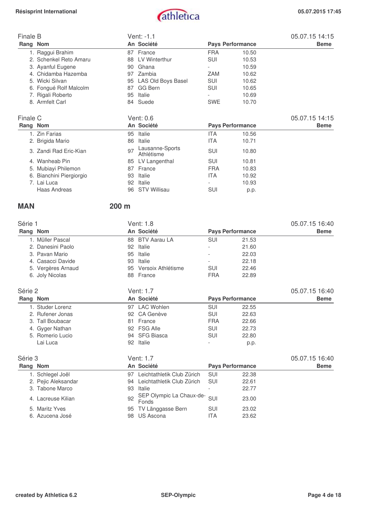

| Finale B |                          |    | Vent: -1.1                    |            |                         | 05.07.15 14:15 |
|----------|--------------------------|----|-------------------------------|------------|-------------------------|----------------|
|          | Rang Nom                 |    | An Société                    |            | <b>Pays Performance</b> | <b>Beme</b>    |
|          | 1. Raggui Brahim         |    | 87 France                     | <b>FRA</b> | 10.50                   |                |
|          | 2. Schenkel Reto Amaru   | 88 | LV Winterthur                 | SUI        | 10.53                   |                |
|          | 3. Ayanful Eugene        | 90 | Ghana                         |            | 10.59                   |                |
|          | 4. Chidamba Hazemba      | 97 | Zambia                        | ZAM        | 10.62                   |                |
|          | 5. Wicki Silvan          | 95 | LAS Old Boys Basel            | SUI        | 10.62                   |                |
|          | 6. Fongué Rolf Malcolm   | 87 | <b>GG Bern</b>                | <b>SUI</b> | 10.65                   |                |
|          | 7. Rigali Roberto        | 95 | Italie                        |            | 10.69                   |                |
|          | 8. Armfelt Carl          | 84 | Suede                         | <b>SWE</b> | 10.70                   |                |
| Finale C |                          |    | Vent: 0.6                     |            |                         | 05.07.15 14:15 |
|          | Rang Nom                 |    | An Société                    |            | <b>Pays Performance</b> | <b>Beme</b>    |
|          | 1. Zin Farias            | 95 | Italie                        | <b>ITA</b> | 10.56                   |                |
|          | 2. Brigida Mario         | 86 | Italie                        | <b>ITA</b> | 10.71                   |                |
|          | 3. Zandi Rad Eric-Kian   | 97 | Lausanne-Sports<br>Athlétisme | <b>SUI</b> | 10.80                   |                |
|          | 4. Wanheab Pin           | 85 | LV Langenthal                 | SUI        | 10.81                   |                |
|          | 5. Mubiayi Philemon      | 87 | France                        | <b>FRA</b> | 10.83                   |                |
|          | 6. Bianchini Piergiorgio | 93 | Italie                        | <b>ITA</b> | 10.92                   |                |
|          | 7. Lai Luca              | 92 | Italie                        |            | 10.93                   |                |
|          | Haas Andreas             | 96 | <b>STV Willisau</b>           | SUI        | p.p.                    |                |

96 STV Willisau SUI p.p.

**MAN 200 m** 

| Série 1             |    | Vent: 1.8                         |            |                         | 05.07.15 16:40 |
|---------------------|----|-----------------------------------|------------|-------------------------|----------------|
| Rang Nom            |    | An Société                        |            | <b>Pays Performance</b> | <b>Beme</b>    |
| 1. Müller Pascal    |    | 88 BTV Aarau LA                   | SUI        | 21.53                   |                |
| 2. Danesini Paolo   | 92 | Italie                            |            | 21.60                   |                |
| 3. Pavan Mario      | 95 | Italie                            |            | 22.03                   |                |
| 4. Casacci Davide   | 93 | Italie                            |            | 22.18                   |                |
| 5. Vergères Arnaud  | 95 | Versoix Athlétisme                | <b>SUI</b> | 22.46                   |                |
| 6. Joly Nicolas     |    | 88 France                         | <b>FRA</b> | 22.89                   |                |
| Série 2             |    | Vent: 1.7                         |            |                         | 05.07.15 16:40 |
| Rang Nom            |    | An Société                        |            | <b>Pays Performance</b> | <b>Beme</b>    |
| 1. Studer Lorenz    |    | 97 LAC Wohlen                     | <b>SUI</b> | 22.55                   |                |
| 2. Rufener Jonas    | 92 | CA Genève                         | <b>SUI</b> | 22.63                   |                |
| 3. Tall Boubacar    | 81 | France                            | <b>FRA</b> | 22.66                   |                |
| 4. Gyger Nathan     | 92 | <b>FSG Alle</b>                   | SUI        | 22.73                   |                |
| 5. Romerio Lucio    | 94 | <b>SFG Biasca</b>                 | <b>SUI</b> | 22.80                   |                |
| Lai Luca            | 92 | Italie                            |            | p.p.                    |                |
| Série 3             |    | Vent: 1.7                         |            |                         | 05.07.15 16:40 |
| Rang Nom            |    | An Société                        |            | <b>Pays Performance</b> | <b>Beme</b>    |
| 1. Schlegel Joël    | 97 | Leichtathletik Club Zürich        | <b>SUI</b> | 22.38                   |                |
| 2. Pejic Aleksandar | 94 | Leichtathletik Club Zürich        | <b>SUI</b> | 22.61                   |                |
| 3. Tabone Marco     | 93 | Italie                            |            | 22.77                   |                |
| 4. Lacreuse Kilian  | 92 | SEP Olympic La Chaux-de-<br>Fonds | SUI        | 23.00                   |                |
| 5. Maritz Yves      | 95 | TV Länggasse Bern                 | <b>SUI</b> | 23.02                   |                |
| 6. Azucena José     | 98 | <b>US Ascona</b>                  | <b>ITA</b> | 23.62                   |                |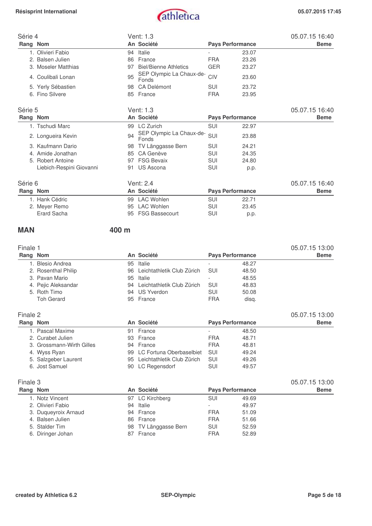

| Série 4 |                          |    | Vent: 1.3                         |            |                         | 05.07.15 16:40 |
|---------|--------------------------|----|-----------------------------------|------------|-------------------------|----------------|
|         | Rang Nom                 |    | An Société                        |            | <b>Pays Performance</b> | <b>Beme</b>    |
|         | 1. Olivieri Fabio        | 94 | Italie                            |            | 23.07                   |                |
|         | 2. Balsen Julien         | 86 | France                            | <b>FRA</b> | 23.26                   |                |
|         | 3. Moseler Matthias      | 97 | <b>Biel/Bienne Athletics</b>      | <b>GER</b> | 23.27                   |                |
|         | 4. Coulibali Lonan       | 95 | SEP Olympic La Chaux-de-<br>Fonds | CIV        | 23.60                   |                |
|         | 5. Yerly Sébastien       | 98 | CA Delémont                       | <b>SUI</b> | 23.72                   |                |
|         | 6. Fino Silvere          |    | 85 France                         | <b>FRA</b> | 23.95                   |                |
| Série 5 |                          |    | Vent: 1.3                         |            |                         | 05.07.15 16:40 |
|         | Rang Nom                 |    | An Société                        |            | <b>Pays Performance</b> | <b>Beme</b>    |
|         | 1. Tschudi Marc          |    | 99 LC Zurich                      | SUI        | 22.97                   |                |
|         | 2. Longueira Kevin       | 94 | SEP Olympic La Chaux-de-<br>Fonds | SUI        | 23.88                   |                |
|         | 3. Kaufmann Dario        | 98 | TV Länggasse Bern                 | SUI        | 24.21                   |                |
|         | 4. Amide Jonathan        | 85 | CA Genève                         | SUI        | 24.35                   |                |
|         | 5. Robert Antoine        | 97 | <b>FSG Bevaix</b>                 | SUI        | 24.80                   |                |
|         | Liebich-Respini Giovanni | 91 | US Ascona                         | <b>SUI</b> | p.p.                    |                |
| Série 6 |                          |    | Vent: 2.4                         |            |                         | 05.07.15 16:40 |
|         | Rang Nom                 |    | An Société                        |            | <b>Pays Performance</b> | <b>Beme</b>    |
|         | 1. Hank Cédric           | 99 | <b>LAC Wohlen</b>                 | SUI        | 22.71                   |                |
|         | 2. Meyer Remo            | 95 | <b>LAC Wohlen</b>                 | SUI        | 23.45                   |                |
|         | Erard Sacha              | 95 | <b>FSG Bassecourt</b>             | SUI        | p.p.                    |                |

### **MAN 400 m**

| Finale 1 |                     |    |                               |                         |       | 05.07.15 13:00 |  |  |
|----------|---------------------|----|-------------------------------|-------------------------|-------|----------------|--|--|
|          | Rang Nom            |    | An Société                    | <b>Pays Performance</b> |       | <b>Beme</b>    |  |  |
|          | 1. Blesio Andrea    | 95 | Italie                        |                         | 48.27 |                |  |  |
|          | 2. Rosenthal Philip |    | 96 Leichtathletik Club Zürich | SUI                     | 48.50 |                |  |  |
|          | 3. Pavan Mario      |    | 95 Italie                     |                         | 48.55 |                |  |  |
|          | 4. Pejic Aleksandar | 94 | Leichtathletik Club Zürich    | SUI                     | 48.83 |                |  |  |
|          | 5. Roth Timo        |    | 94 US Yverdon                 | SUI                     | 50.08 |                |  |  |
|          | <b>Toh Gerard</b>   |    | 95 France                     | <b>FRA</b>              | disg. |                |  |  |

| Finale 2 |                           |            |                               |                         |       | 05.07.15 13:00 |
|----------|---------------------------|------------|-------------------------------|-------------------------|-------|----------------|
|          | Rang Nom                  | An Société |                               | <b>Pays Performance</b> |       | <b>Beme</b>    |
|          | 1. Pascal Maxime          | 91         | France                        |                         | 48.50 |                |
|          | 2. Curabet Julien         |            | 93 France                     | <b>FRA</b>              | 48.71 |                |
|          | 3. Grossmann-Wirth Gilles |            | 94 France                     | <b>FRA</b>              | 48.81 |                |
|          | 4. Wyss Ryan              |            | 99 LC Fortuna Oberbaselbiet   | <b>SUL</b>              | 49.24 |                |
|          | 5. Salzgeber Laurent      |            | 95 Leichtathletik Club Zürich | SUI                     | 49.26 |                |
|          | 6. Jost Samuel            |            | 90 LC Regensdorf              | <b>SUI</b>              | 49.57 |                |

|                                                                                                                                                 |            |       | 05.07.15 13:00          |
|-------------------------------------------------------------------------------------------------------------------------------------------------|------------|-------|-------------------------|
| An Société                                                                                                                                      |            |       | <b>Beme</b>             |
| 97 LC Kirchberg                                                                                                                                 | <b>SUI</b> | 49.69 |                         |
| 94 Italie                                                                                                                                       |            | 49.97 |                         |
| 94 France                                                                                                                                       | <b>FRA</b> | 51.09 |                         |
| 86 France                                                                                                                                       | <b>FRA</b> | 51.66 |                         |
| 98 TV Länggasse Bern                                                                                                                            | <b>SUI</b> | 52.59 |                         |
| 87 France                                                                                                                                       | <b>FRA</b> | 52.89 |                         |
| Finale 3<br>Rang Nom<br>1. Notz Vincent<br>2. Olivieri Fabio<br>3. Duqueyroix Arnaud<br>4. Balsen Julien<br>5. Stalder Tim<br>6. Diringer Johan |            |       | <b>Pays Performance</b> |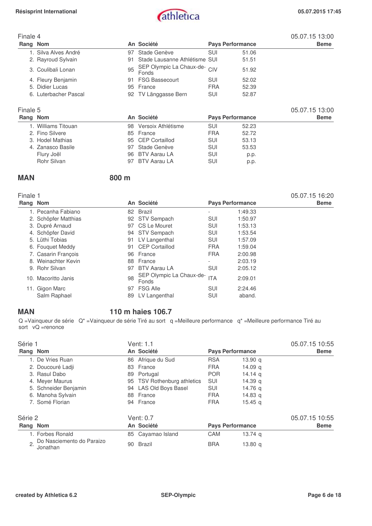

05.07.15 16:20

## Finale 4 05.07.15 13:00 Pays Performance **Beme** 1. Silva Alves André 97 Stade Genève SUI 51.06 2. Rayroud Sylvain **91 Stade Lausanne Athlétisme SUI** 51.51 3. Coulibali Lonan 95 SEP Olympic La Chaux-de-Fonds CIV 51.92 4. Fleury Benjamin 91 FSG Bassecourt SUI 52.02 5. Didier Lucas 95 France FRA 52.39 6. Luterbacher Pascal 92 TV Länggasse Bern SUI Finale 5 05.07.15 13:00

| Filidle 5           |                       |            |                         | 00.07.10 TO.00 |
|---------------------|-----------------------|------------|-------------------------|----------------|
| Rang Nom            | An Société            |            | <b>Pays Performance</b> | <b>Beme</b>    |
| 1. Williams Titouan | 98 Versoix Athlétisme | SUI        | 52.23                   |                |
| 2. Fino Silvere     | 85 France             | <b>FRA</b> | 52.72                   |                |
| 3. Hodel Mathias    | 95 CEP Cortaillod     | SUI        | 53.13                   |                |
| 4. Zanasco Basile   | 97 Stade Genève       | SUI        | 53.53                   |                |
| Flury Joël          | 96 BTV Aarau LA       | SUI        | p.p.                    |                |
| Rohr Silvan         | 97 BTV Aarau LA       | SUI        | p.p.                    |                |
|                     |                       |            |                         |                |

### **MAN 800 m**

| ю<br>c |  |
|--------|--|
|--------|--|

| Rang Nom |                      |    | An Société                        | <b>Pays Performance</b>  |         | <b>Beme</b> |
|----------|----------------------|----|-----------------------------------|--------------------------|---------|-------------|
|          | 1. Pecanha Fabiano   |    | 82 Brazil                         |                          | 1:49.33 |             |
|          | 2. Schöpfer Matthias |    | 92 STV Sempach                    | <b>SUI</b>               | 1:50.97 |             |
|          | 3. Dupré Arnaud      | 97 | CS Le Mouret                      | <b>SUI</b>               | 1:53.13 |             |
|          | 4. Schöpfer David    | 94 | <b>STV Sempach</b>                | <b>SUI</b>               | 1:53.54 |             |
|          | 5. Lüthi Tobias      | 91 | LV Langenthal                     | <b>SUI</b>               | 1:57.09 |             |
|          | 6. Fouquet Meddy     | 91 | CEP Cortaillod                    | <b>FRA</b>               | 1:59.04 |             |
|          | 7. Casarin Francois  | 96 | France                            | <b>FRA</b>               | 2:00.98 |             |
|          | 8. Weinachter Kevin  | 88 | France                            | $\overline{\phantom{a}}$ | 2:03.19 |             |
|          | 9. Rohr Silvan       | 97 | <b>BTV Aarau LA</b>               | <b>SUI</b>               | 2:05.12 |             |
| 10.      | Macoritto Janis      | 98 | SEP Olympic La Chaux-de-<br>Fonds | <b>ITA</b>               | 2:09.01 |             |
|          | 11. Gigon Marc       | 97 | <b>FSG Alle</b>                   | <b>SUI</b>               | 2:24.46 |             |
|          | Salm Raphael         | 89 | LV Langenthal                     | SUI                      | aband.  |             |

### **MAN 110 m haies 106.7**

 $Q =$ Vainqueur de série  $Q^* =$ Vainqueur de série Tiré au sort q =Meilleure performance q<sup>\*</sup> =Meilleure performance Tiré au sort vQ =renonce

| Série 1                                     | Vent: 1.1                   |                                  | 05.07.15 10:55 |
|---------------------------------------------|-----------------------------|----------------------------------|----------------|
| Rang Nom                                    | An Société                  | <b>Pays Performance</b>          | <b>Beme</b>    |
| 1. De Vries Ruan                            | 86 Afrique du Sud           | <b>RSA</b><br>13.90 <sub>a</sub> |                |
| 2. Doucouré Ladji                           | France<br>83                | <b>FRA</b><br>14.09 $a$          |                |
| 3. Rasul Dabo                               | Portugal<br>89              | <b>POR</b><br>14.14 $q$          |                |
| 4. Meyer Maurus                             | 95 TSV Rothenburg athletics | <b>SUI</b><br>14.39 a            |                |
| 5. Schneider Benjamin                       | 94 LAS Old Boys Basel       | SUI<br>14.76 a                   |                |
| 6. Manoha Sylvain                           | 88 France                   | <b>FRA</b><br>14.83 $q$          |                |
| 7. Somé Florian                             | 94 France                   | <b>FRA</b><br>$15.45 \text{ g}$  |                |
| Série 2                                     | Vent: 0.7                   |                                  | 05.07.15 10:55 |
| Rang Nom                                    | An Société                  | <b>Pays Performance</b>          | <b>Beme</b>    |
| 1. Forbes Ronald                            | 85 Cayamao Island           | <b>CAM</b><br>13.74 $q$          |                |
| Do Nasciemento do Paraizo<br>2.<br>Jonathan | Brazil<br>90                | <b>BRA</b><br>13.80 $q$          |                |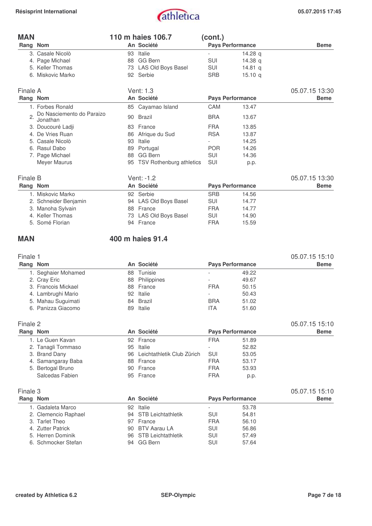# Résisprint International **and alleface** and a contract of the contract of the contract of the contract of the contract of the contract of the contract of the contract of the contract of the contract of the contract of the

| <b>MAN</b>       |                                       |    | 110 m haies 106.7               | (cont.)    |                         |                |
|------------------|---------------------------------------|----|---------------------------------|------------|-------------------------|----------------|
| Rang Nom         |                                       |    | An Société                      |            | <b>Pays Performance</b> | <b>Beme</b>    |
|                  | 3. Casale Nicolò                      | 93 | Italie                          |            | 14.28 $q$               |                |
|                  | 4. Page Michael                       | 88 | GG Bern                         | SUI        | 14.38 $q$               |                |
|                  | 5. Keller Thomas                      | 73 | LAS Old Boys Basel              | SUI        | 14.81 $q$               |                |
|                  | 6. Miskovic Marko                     |    | 92 Serbie                       | <b>SRB</b> | 15.10 q                 |                |
| Finale A         |                                       |    | Vent: 1.3                       |            |                         | 05.07.15 13:30 |
| Rang Nom         |                                       |    | An Société                      |            | <b>Pays Performance</b> | <b>Beme</b>    |
|                  | 1. Forbes Ronald                      |    | 85 Cayamao Island               | CAM        | 13.47                   |                |
| $\overline{2}$ . | Do Nasciemento do Paraizo<br>Jonathan | 90 | <b>Brazil</b>                   | <b>BRA</b> | 13.67                   |                |
|                  | 3. Doucouré Ladji                     | 83 | France                          | <b>FRA</b> | 13.85                   |                |
|                  | 4. De Vries Ruan                      | 86 | Afrique du Sud                  | <b>RSA</b> | 13.87                   |                |
|                  | 5. Casale Nicolò                      | 93 | Italie                          |            | 14.25                   |                |
| 6.               | Rasul Dabo                            | 89 | Portugal                        | <b>POR</b> | 14.26                   |                |
|                  | 7. Page Michael                       | 88 | GG Bern                         | <b>SUI</b> | 14.36                   |                |
|                  | Meyer Maurus                          | 95 | <b>TSV Rothenburg athletics</b> | SUI        | p.p.                    |                |
| Finale B         |                                       |    | Vent: -1.2                      |            |                         | 05.07.15 13:30 |
| Rang Nom         |                                       |    | An Société                      |            | <b>Pays Performance</b> | <b>Beme</b>    |
|                  | 1. Miskovic Marko                     |    | 92 Serbie                       | <b>SRB</b> | 14.56                   |                |
|                  | 2. Schneider Benjamin                 |    | 94 LAS Old Boys Basel           | SUI        | 14.77                   |                |

| 2. Schneider Benjamin | 94 LAS Old Boys Basel | SUI | 14.77 |
|-----------------------|-----------------------|-----|-------|
| 3. Manoha Sylvain     | 88 France             | FRA | 14.77 |
| 4. Keller Thomas      | 73 LAS Old Boys Basel | SUI | 14.90 |
| 5. Somé Florian       | 94 France             | FRA | 15.59 |
|                       |                       |     |       |

### **MAN 400 m haies 91.4**

| Finale 1 |                      |    |                            |            |                         | 05.07.15 15:10 |
|----------|----------------------|----|----------------------------|------------|-------------------------|----------------|
| Rang Nom |                      |    | An Société                 |            | <b>Pays Performance</b> | <b>Beme</b>    |
|          | 1. Seghaier Mohamed  | 88 | Tunisie                    |            | 49.22                   |                |
|          | 2. Cray Eric         | 88 | Philippines                |            | 49.67                   |                |
|          | 3. Francois Mickael  | 88 | France                     | <b>FRA</b> | 50.15                   |                |
|          | 4. Lambrughi Mario   | 92 | Italie                     |            | 50.43                   |                |
|          | 5. Mahau Suguimati   | 84 | Brazil                     | <b>BRA</b> | 51.02                   |                |
|          | 6. Panizza Giacomo   | 89 | Italie                     | <b>ITA</b> | 51.60                   |                |
| Finale 2 |                      |    |                            |            |                         | 05.07.15 15:10 |
| Rang Nom |                      |    | An Société                 |            | <b>Pays Performance</b> | <b>Beme</b>    |
|          | 1. Le Guen Kavan     |    | 92 France                  | <b>FRA</b> | 51.89                   |                |
|          | 2. Tanagli Tommaso   | 95 | Italie                     |            | 52.82                   |                |
|          | 3. Brand Dany        | 96 | Leichtathletik Club Zürich | SUI        | 53.05                   |                |
|          | 4. Samangaray Baba   | 88 | France                     | <b>FRA</b> | 53.17                   |                |
|          | 5. Bertogal Bruno    | 90 | France                     | <b>FRA</b> | 53.93                   |                |
|          | Salcedas Fabien      |    | 95 France                  | <b>FRA</b> | p.p.                    |                |
| Finale 3 |                      |    |                            |            |                         | 05.07.15 15:10 |
| Rang Nom |                      |    | An Société                 |            | <b>Pays Performance</b> | <b>Beme</b>    |
|          | 1. Gadaleta Marco    | 92 | Italie                     |            | 53.78                   |                |
|          | 2. Clemencio Raphael | 94 | <b>STB Leichtathletik</b>  | <b>SUI</b> | 54.81                   |                |
|          | 3. Tarlet Theo       | 97 | France                     | <b>FRA</b> | 56.10                   |                |
|          | 4. Zutter Patrick    | 90 | <b>BTV Aarau LA</b>        | SUI        | 56.86                   |                |
|          | 5. Herren Dominik    | 96 | <b>STB Leichtathletik</b>  | SUI        | 57.49                   |                |

6. Schmocker Stefan

96 STB Leichtathletik SUI 57.49<br>94 GG Bern SUI 57.64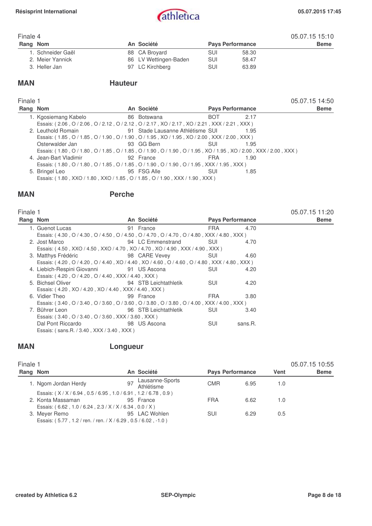

### Finale 4 05.07.15 15:10<br>Rang Nom **An Société** Pays Performance 05.07.15 15:10 **Pays Performance** 1. Schneider Gaël 88 CA Broyard SUI 58.30 2. Meier Yannick 86 LV Wettingen-Baden SUI 58.47 3. Heller Jan 63. Novemberg 197 LC Kirchberg 63.99 SUI

### **MAN** Hauteur

| Finale 1 |                                                                                                                    |             |                         |      | 05.07.15 14:50 |
|----------|--------------------------------------------------------------------------------------------------------------------|-------------|-------------------------|------|----------------|
| Rang Nom |                                                                                                                    | An Société  | <b>Pays Performance</b> |      | <b>Beme</b>    |
|          | 1. Kgosiemang Kabelo                                                                                               | 86 Botswana | <b>BOT</b>              | 2.17 |                |
|          | Essais: (2.06, O/2.06, O/2.12, O/2.12, O/2.17, XO/2.17, XO/2.21, XXX/2.21, XXX)                                    |             |                         |      |                |
|          | 2. Leuthold Romain <b>1992</b> Stade Lausanne Athlétisme SUI                                                       |             |                         | 1.95 |                |
|          | Essais: (1.85, O/1.85, O/1.90, O/1.90, O/1.95, XO/1.95, XO/2.00, XXX/2.00, XXX)                                    |             |                         |      |                |
|          | Osterwalder Jan                                                                                                    | 93 GG Bern  | SUI                     | 1.95 |                |
|          | Essais: (1.80, O / 1.80, O / 1.85, O / 1.85, O / 1.90, O / 1.90, O / 1.95, XO / 1.95, XO / 2.00, XXX / 2.00, XXX ) |             |                         |      |                |
|          | 4. Jean-Bart Vladimir                                                                                              | 92 France   | <b>FRA</b>              | 1.90 |                |
|          | Essais: (1.80, O / 1.80, O / 1.85, O / 1.85, O / 1.90, O / 1.90, O / 1.95, XXX / 1.95, XXX)                        |             |                         |      |                |
|          | 5. Bringel Leo                                                                                                     | 95 FSG Alle | SUI                     | 1.85 |                |
|          | Essais: (1.80, XXO / 1.80, XXO / 1.85, O / 1.85, O / 1.90, XXX / 1.90, XXX)                                        |             |                         |      |                |
|          |                                                                                                                    |             |                         |      |                |

### **MAN Perche**

| Finale 1                          |                                           |                                                                                                                                                                                                                                                                                                                                                                                                                                                                                                                                                                   |                                                                                                    | 05.07.15 11:20                                                                                                                                                                                                                                                                                                          |
|-----------------------------------|-------------------------------------------|-------------------------------------------------------------------------------------------------------------------------------------------------------------------------------------------------------------------------------------------------------------------------------------------------------------------------------------------------------------------------------------------------------------------------------------------------------------------------------------------------------------------------------------------------------------------|----------------------------------------------------------------------------------------------------|-------------------------------------------------------------------------------------------------------------------------------------------------------------------------------------------------------------------------------------------------------------------------------------------------------------------------|
| Rang Nom                          |                                           |                                                                                                                                                                                                                                                                                                                                                                                                                                                                                                                                                                   |                                                                                                    | <b>Beme</b>                                                                                                                                                                                                                                                                                                             |
| 1. Guenot Lucas                   |                                           | FRA                                                                                                                                                                                                                                                                                                                                                                                                                                                                                                                                                               | 4.70                                                                                               |                                                                                                                                                                                                                                                                                                                         |
|                                   |                                           |                                                                                                                                                                                                                                                                                                                                                                                                                                                                                                                                                                   |                                                                                                    |                                                                                                                                                                                                                                                                                                                         |
| 2. Jost Marco                     |                                           | -SUI-                                                                                                                                                                                                                                                                                                                                                                                                                                                                                                                                                             | 4.70                                                                                               |                                                                                                                                                                                                                                                                                                                         |
|                                   |                                           |                                                                                                                                                                                                                                                                                                                                                                                                                                                                                                                                                                   |                                                                                                    |                                                                                                                                                                                                                                                                                                                         |
|                                   |                                           | SUI                                                                                                                                                                                                                                                                                                                                                                                                                                                                                                                                                               | 4.60                                                                                               |                                                                                                                                                                                                                                                                                                                         |
|                                   |                                           |                                                                                                                                                                                                                                                                                                                                                                                                                                                                                                                                                                   |                                                                                                    |                                                                                                                                                                                                                                                                                                                         |
|                                   |                                           | SUI                                                                                                                                                                                                                                                                                                                                                                                                                                                                                                                                                               | 4.20                                                                                               |                                                                                                                                                                                                                                                                                                                         |
|                                   |                                           |                                                                                                                                                                                                                                                                                                                                                                                                                                                                                                                                                                   |                                                                                                    |                                                                                                                                                                                                                                                                                                                         |
| 5. Bichsel Oliver                 |                                           | <b>SUI</b>                                                                                                                                                                                                                                                                                                                                                                                                                                                                                                                                                        | 4.20                                                                                               |                                                                                                                                                                                                                                                                                                                         |
|                                   |                                           |                                                                                                                                                                                                                                                                                                                                                                                                                                                                                                                                                                   |                                                                                                    |                                                                                                                                                                                                                                                                                                                         |
| 6. Vidier Theo                    |                                           | <b>FRA</b>                                                                                                                                                                                                                                                                                                                                                                                                                                                                                                                                                        | 3.80                                                                                               |                                                                                                                                                                                                                                                                                                                         |
|                                   |                                           |                                                                                                                                                                                                                                                                                                                                                                                                                                                                                                                                                                   |                                                                                                    |                                                                                                                                                                                                                                                                                                                         |
| 7. Bührer Leon                    |                                           | SUI                                                                                                                                                                                                                                                                                                                                                                                                                                                                                                                                                               | 3.40                                                                                               |                                                                                                                                                                                                                                                                                                                         |
|                                   |                                           |                                                                                                                                                                                                                                                                                                                                                                                                                                                                                                                                                                   |                                                                                                    |                                                                                                                                                                                                                                                                                                                         |
| Dal Pont Riccardo <b>Dal Pont</b> |                                           | SUI                                                                                                                                                                                                                                                                                                                                                                                                                                                                                                                                                               | sans.R.                                                                                            |                                                                                                                                                                                                                                                                                                                         |
|                                   |                                           |                                                                                                                                                                                                                                                                                                                                                                                                                                                                                                                                                                   |                                                                                                    |                                                                                                                                                                                                                                                                                                                         |
|                                   | Essais: (sans.R. / 3.40, XXX / 3.40, XXX) | An Société<br>91 France<br>3. Matthys Frédéric <b>3. State State State State State State State State State State State State State State State State State State State State State State State State State State State State State State State State State </b><br>4. Liebich-Respini Giovanni 91 US Ascona<br>Essais: (4.20, O / 4.20, O / 4.40, XXX / 4.40, XXX)<br>94 STB Leichtathletik<br>Essais: (4.20, XO / 4.20, XO / 4.40, XXX / 4.40, XXX)<br>99 France<br>96 STB Leichtathletik<br>Essais: (3.40, O / 3.40, O / 3.60, XXX / 3.60, XXX)<br>98 US Ascona | 94 LC Emmenstrand<br>Essais: (4.50, XXO / 4.50, XXO / 4.70, XO / 4.70, XO / 4.90, XXX / 4.90, XXX) | <b>Pays Performance</b><br>Essais: (4.30, O / 4.30, O / 4.50, O / 4.50, O / 4.70, O / 4.70, O / 4.80, XXX / 4.80, XXX)<br>Essais: (4.20, O / 4.20, O / 4.40, XO / 4.40, XO / 4.60, O / 4.60, O / 4.80, XXX / 4.80, XXX)<br>Essais: (3.40, O / 3.40, O / 3.60, O / 3.60, O / 3.80, O / 3.80, O / 4.00, XXX / 4.00, XXX ) |

## **MAN Longueur**

| Finale 1 |                                                                |    |                               |                         |      |      | 05.07.15 10:55 |
|----------|----------------------------------------------------------------|----|-------------------------------|-------------------------|------|------|----------------|
| Rang Nom |                                                                |    | An Société                    | <b>Pays Performance</b> |      | Vent | <b>Beme</b>    |
|          | 1. Ngom Jordan Herdy                                           | 97 | Lausanne-Sports<br>Athlétisme | <b>CMR</b>              | 6.95 | 1.0  |                |
|          | Essais: (X/X/6.94, 0.5/6.95, 1.0/6.91, 1.2/6.78, 0.9)          |    |                               |                         |      |      |                |
|          | 2. Konta Massaman                                              |    | 95 France                     | <b>FRA</b>              | 6.62 | 1.0  |                |
|          | Essais: (6.62, 1.0/6.24, 2.3/X/X/6.34, 0.0/X)                  |    |                               |                         |      |      |                |
|          | 3. Meyer Remo                                                  |    | 95 LAC Wohlen                 | <b>SUI</b>              | 6.29 | 0.5  |                |
|          | Essais: (5.77, 1.2 / ren. / ren. / X / 6.29, 0.5 / 6.02, -1.0) |    |                               |                         |      |      |                |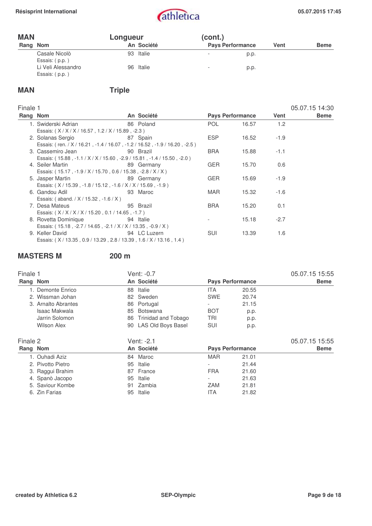| <b>MAN</b> |                                      | Longueur |            | (cont.)                  |                         |      |             |
|------------|--------------------------------------|----------|------------|--------------------------|-------------------------|------|-------------|
| Rang Nom   |                                      |          | An Société |                          | <b>Pays Performance</b> | Vent | <b>Beme</b> |
|            | Casale Nicolò<br>Essais: (p.p.)      |          | 93 Italie  | $\overline{\phantom{a}}$ | p.p.                    |      |             |
|            | Li Veli Alessandro<br>Essais: (p.p.) |          | 96 Italie  | $\overline{\phantom{a}}$ | p.p.                    |      |             |

# **MAN** Triple

| <b>Finale</b> |  |
|---------------|--|
|---------------|--|

| Finale 1 |                                                               |                                                                            |            |                         |        | 05.07.15 14:30 |
|----------|---------------------------------------------------------------|----------------------------------------------------------------------------|------------|-------------------------|--------|----------------|
| Rang Nom |                                                               | An Société                                                                 |            | <b>Pays Performance</b> | Vent   | <b>Beme</b>    |
|          | 1. Swiderski Adrian                                           | 86 Poland                                                                  | POL.       | 16.57                   | 1.2    |                |
|          | Essais: (X / X / X / 16.57, 1.2 / X / 15.89, -2.3)            |                                                                            |            |                         |        |                |
|          | 2. Solanas Sergio                                             | 87 Spain                                                                   | <b>ESP</b> | 16.52                   | $-1.9$ |                |
|          |                                                               | Essais: (ren. / X / 16.21, -1.4 / 16.07, -1.2 / 16.52, -1.9 / 16.20, -2.5) |            |                         |        |                |
|          | 3. Cassemiro Jean                                             | 90 Brazil                                                                  | <b>BRA</b> | 15.88                   | $-1.1$ |                |
|          |                                                               | Essais: (15.88, -1.1 / X / X / 15.60, -2.9 / 15.81, -1.4 / 15.50, -2.0)    |            |                         |        |                |
|          | 4. Seiler Martin                                              | 89 Germany                                                                 | <b>GER</b> | 15.70                   | 0.6    |                |
|          | Essais: (15.17, -1.9 / X / 15.70, 0.6 / 15.38, -2.8 / X / X)  |                                                                            |            |                         |        |                |
|          | 5. Jasper Martin                                              | 89 Germany                                                                 | <b>GER</b> | 15.69                   | $-1.9$ |                |
|          | Essais: (X/15.39, -1.8/15.12, -1.6/X/X/15.69, -1.9)           |                                                                            |            |                         |        |                |
|          | 6. Gandou Adil                                                | 93 Maroc                                                                   | MAR        | 15.32                   | $-1.6$ |                |
|          | Essais: (aband. / X / 15.32, -1.6 / X)                        |                                                                            |            |                         |        |                |
|          | 7. Desa Mateus                                                | 95 Brazil                                                                  | <b>BRA</b> | 15.20                   | 0.1    |                |
|          | Essais: (X/X/X/X/15.20, 0.1/14.65, -1.7)                      |                                                                            |            |                         |        |                |
|          | 8. Rovetta Dominique                                          | 94 Italie                                                                  |            | 15.18                   | $-2.7$ |                |
|          | Essais: (15.18, -2.7 / 14.65, -2.1 / X / X / 13.35, -0.9 / X) |                                                                            |            |                         |        |                |
|          | 9. Keller David                                               | 94 LC Luzern                                                               | SUI        | 13.39                   | 1.6    |                |
|          | Essais: (X/13.35, 0.9/13.29, 2.8/13.39, 1.6/X/13.16, 1.4)     |                                                                            |            |                         |        |                |

## **MASTERS M 200 m**

| Finale 1 |                     |    | Vent: -0.7          |                         |       | 05.07.15 15:55 |
|----------|---------------------|----|---------------------|-------------------------|-------|----------------|
| Rang Nom |                     |    | An Société          | <b>Pays Performance</b> |       | <b>Beme</b>    |
|          | 1. Demonte Enrico   | 88 | Italie              | <b>ITA</b>              | 20.55 |                |
|          | 2. Wissman Johan    |    | 82 Sweden           | <b>SWE</b>              | 20.74 |                |
|          | 3. Arnalto Abrantes | 86 | Portugal            |                         | 21.15 |                |
|          | Isaac Makwala       | 85 | <b>Botswana</b>     | <b>BOT</b>              | p.p.  |                |
|          | Jarrin Solomon      | 86 | Trinidad and Tobago | <b>TRI</b>              | p.p.  |                |
|          | <b>Wilson Alex</b>  | 90 | LAS Old Boys Basel  | SUI                     | p.p.  |                |
| Finale 2 |                     |    | Vent: -2.1          |                         |       | 05.07.15 15:55 |
| Rang Nom |                     |    | An Société          | <b>Pays Performance</b> |       | <b>Beme</b>    |
|          | 1. Ouhadi Aziz      |    | 84 Maroc            | <b>MAR</b>              | 21.01 |                |
|          | 2. Pivotto Pietro   | 95 | Italie              |                         | 21.44 |                |
|          | 3. Raggui Brahim    | 87 | France              | <b>FRA</b>              | 21.60 |                |
|          | 4. Spanò Jacopo     | 95 | Italie              |                         | 21.63 |                |
|          | 5. Saviour Kombe    | 91 | Zambia              | ZAM                     | 21.81 |                |
|          | 6. Zin Farias       | 95 | Italie              | ITA                     | 21.82 |                |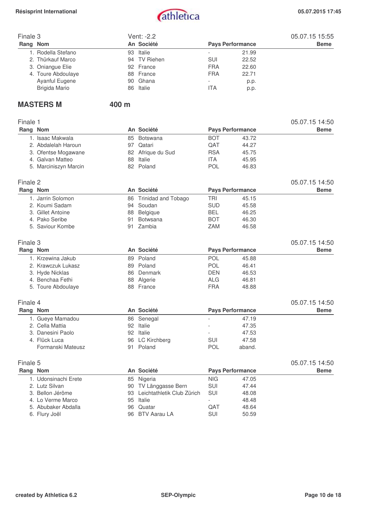

| Finale 3 |                    |    | Vent: -2.2   | 05.07.15 15:55 |                         |             |
|----------|--------------------|----|--------------|----------------|-------------------------|-------------|
| Rang Nom |                    |    | An Société   |                | <b>Pays Performance</b> | <b>Beme</b> |
|          | 1. Rodella Stefano |    | 93 Italie    |                | 21.99                   |             |
|          | 2. Thürkauf Marco  |    | 94 TV Riehen | <b>SUI</b>     | 22.52                   |             |
|          | 3. Oniangue Elie   |    | 92 France    | <b>FRA</b>     | 22.60                   |             |
|          | 4. Toure Abdoulaye |    | 88 France    | <b>FRA</b>     | 22.71                   |             |
|          | Ayanful Eugene     |    | 90 Ghana     |                | p.p.                    |             |
|          | Brigida Mario      | 86 | Italie       | ITA            | p.p.                    |             |

### **MASTERS M** 400 m

| Finale 1 |                                          |    |                               |                          |                         | 05.07.15 14:50 |
|----------|------------------------------------------|----|-------------------------------|--------------------------|-------------------------|----------------|
| Rang Nom |                                          |    | An Société                    |                          | <b>Pays Performance</b> | <b>Beme</b>    |
|          | 1. Isaac Makwala                         | 85 | Botswana                      | <b>BOT</b>               | 43.72                   |                |
|          | 2. Abdalelah Haroun                      |    | 97 Qatari                     | QAT                      | 44.27                   |                |
|          | 3. Ofentse Mogawane                      | 82 | Afrique du Sud                | <b>RSA</b>               | 45.75                   |                |
|          | 4. Galvan Matteo                         |    | 88 Italie                     | <b>ITA</b>               | 45.95                   |                |
|          | 5. Marciniszyn Marcin                    |    | 82 Poland                     | POL                      | 46.83                   |                |
| Finale 2 |                                          |    |                               |                          |                         | 05.07.15 14:50 |
| Rang Nom |                                          |    | An Société                    |                          | <b>Pays Performance</b> | <b>Beme</b>    |
|          | 1. Jarrin Solomon                        | 86 | <b>Trinidad and Tobago</b>    | <b>TRI</b>               | 45.15                   |                |
|          | 2. Koumi Sadam                           | 94 | Soudan                        | <b>SUD</b>               | 45.58                   |                |
|          | 3. Gillet Antoine                        | 88 | Belgique                      | <b>BEL</b>               | 46.25                   |                |
|          | 4. Pako Seribe                           | 91 | Botwsana                      | <b>BOT</b>               | 46.30                   |                |
|          | 5. Saviour Kombe                         | 91 | Zambia                        | <b>ZAM</b>               | 46.58                   |                |
| Finale 3 |                                          |    |                               |                          |                         | 05.07.15 14:50 |
|          | Rang Nom                                 |    | An Société                    |                          | <b>Pays Performance</b> | <b>Beme</b>    |
|          | 1. Krzewina Jakub                        |    | 89 Poland                     | POL                      | 45.88                   |                |
|          | 2. Krawczuk Lukasz                       |    | 89 Poland                     | <b>POL</b>               | 46.41                   |                |
|          | 3. Hyde Nicklas                          |    | 86 Denmark                    | <b>DEN</b>               | 46.53                   |                |
|          | 4. Benchaa Fethi                         |    | 88 Algerie                    | <b>ALG</b>               | 46.81                   |                |
|          | 5. Toure Abdoulaye                       |    | 88 France                     | <b>FRA</b>               | 48.88                   |                |
| Finale 4 |                                          |    |                               |                          |                         | 05.07.15 14:50 |
| Rang Nom |                                          |    | An Société                    |                          | <b>Pays Performance</b> | <b>Beme</b>    |
|          | 1. Gueye Mamadou                         |    | 86 Senegal                    |                          | 47.19                   |                |
|          | 2. Cella Mattia                          |    | 92 Italie                     |                          | 47.35                   |                |
|          | 3. Danesini Paolo                        |    | 92 Italie                     | $\overline{a}$           | 47.53                   |                |
|          | 4. Flück Luca                            |    | 96 LC Kirchberg               | <b>SUI</b>               | 47.58                   |                |
|          | Formanski Mateusz                        |    | 91 Poland                     | POL                      | aband.                  |                |
| Finale 5 |                                          |    |                               |                          |                         | 05.07.15 14:50 |
| Rang Nom |                                          |    | An Société                    |                          | <b>Pays Performance</b> | <b>Beme</b>    |
|          | 1. Udonsinachi Erete                     |    | 85 Nigeria                    | <b>NIG</b>               | 47.05                   |                |
|          | 2. Lutz Silvan                           |    | 90 TV Länggasse Bern          | SUI                      | 47.44                   |                |
|          | 3. Bellon Jérôme                         |    | 93 Leichtathletik Club Zürich | SUI                      |                         |                |
|          |                                          |    | 95 Italie                     | $\overline{\phantom{a}}$ | 48.08                   |                |
|          | 4. Lo Verme Marco<br>5. Abubaker Abdalla | 96 | Quatar                        | QAT                      | 48.48<br>48.64          |                |
|          |                                          | 96 | BTV Aarau LA                  | SUI                      |                         |                |
|          | 6. Flury Joël                            |    |                               |                          | 50.59                   |                |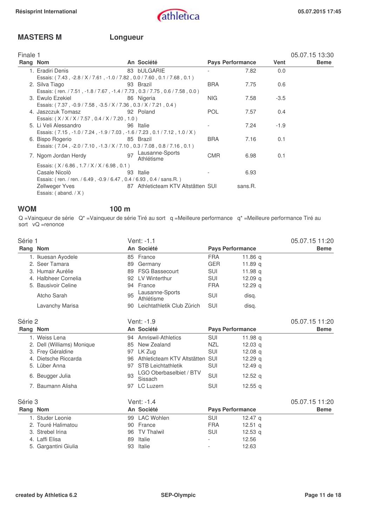## **MASTERS M Longueur**

| Finale 1 |                                                                              |    |                                    |            |                         |             | 05.07.15 13:30 |
|----------|------------------------------------------------------------------------------|----|------------------------------------|------------|-------------------------|-------------|----------------|
| Rang Nom |                                                                              |    | An Société                         |            | <b>Pays Performance</b> | <b>Vent</b> | <b>Beme</b>    |
|          | 1. Eradiri Denis                                                             |    | 83 bULGARIE                        |            | 7.82                    | 0.0         |                |
|          | Essais: (7.43, -2.8 / X / 7.61, -1.0 / 7.82, 0.0 / 7.60, 0.1 / 7.68, 0.1)    |    |                                    |            |                         |             |                |
|          | 2. Silva Tiago                                                               |    | 93 Brazil                          | <b>BRA</b> | 7.75                    | 0.6         |                |
|          | Essais: (ren. / 7.51, -1.8 / 7.67, -1.4 / 7.73, 0.3 / 7.75, 0.6 / 7.58, 0.0) |    |                                    |            |                         |             |                |
|          | 3. Ewulo Ezekiel                                                             |    | 86 Nigeria                         | NIG.       | 7.58                    | $-3.5$      |                |
|          | Essais: (7.37, -0.9 / 7.58, -3.5 / X / 7.36, 0.3 / X / 7.21, 0.4)            |    |                                    |            |                         |             |                |
|          | 4. Jaszczuk Tomasz                                                           |    | 92 Poland                          | <b>POL</b> | 7.57                    | 0.4         |                |
|          | Essais: (X/X/X/7.57, 0.4/X/7.20, 1.0)                                        |    |                                    |            |                         |             |                |
|          | 5. Li Veli Alessandro                                                        |    | 96 Italie                          |            | 7.24                    | $-1.9$      |                |
|          | Essais: (7.15, -1.0 / 7.24, -1.9 / 7.03, -1.6 / 7.23, 0.1 / 7.12, 1.0 / X)   |    |                                    |            |                         |             |                |
|          | 6. Bispo Rogerio                                                             |    | 85 Brazil                          | <b>BRA</b> | 7.16                    | 0.1         |                |
|          | Essais: (7.04, -2.0 / 7.10, -1.3 / X / 7.10, 0.3 / 7.08, 0.8 / 7.16, 0.1)    |    |                                    |            |                         |             |                |
|          | 7. Ngom Jordan Herdy                                                         | 97 | Lausanne-Sports<br>Athlétisme      | <b>CMR</b> | 6.98                    | 0.1         |                |
|          | Essais: (X/6.86, 1.7/X/X/6.98, 0.1)                                          |    |                                    |            |                         |             |                |
|          | Casale Nicolò                                                                |    | 93 Italie                          |            | 6.93                    |             |                |
|          | Essais: (ren. / ren. / 6.49, -0.9 / 6.47, 0.4 / 6.93, 0.4 / sans.R.)         |    |                                    |            |                         |             |                |
|          | Zellweger Yves                                                               |    | 87 Athleticteam KTV Altstätten SUI |            | sans.R.                 |             |                |
|          | Essais: $($ aband. $/ X$ )                                                   |    |                                    |            |                         |             |                |

### **WOM 100 m**

Q =Vainqueur de série Q\* =Vainqueur de série Tiré au sort q =Meilleure performance q\* =Meilleure performance Tiré au sort vQ =renonce

| Série 1  |                            |    | Vent: -1.1                         |                         |                    | 05.07.15 11:20 |
|----------|----------------------------|----|------------------------------------|-------------------------|--------------------|----------------|
| Rang Nom |                            |    | An Société                         | <b>Pays Performance</b> |                    | <b>Beme</b>    |
|          | 1. Ikuesan Ayodele         |    | 85 France                          | <b>FRA</b>              | 11.86 <sub>a</sub> |                |
|          | 2. Seer Tamara             | 89 | Germany                            | <b>GER</b>              | 11.89 <sub>a</sub> |                |
|          | 3. Humair Aurélie          | 89 | <b>FSG Bassecourt</b>              | SUI                     | 11.98 a            |                |
|          | 4. Halbheer Cornelia       | 92 | LV Winterthur                      | <b>SUI</b>              | 12.09 <sub>a</sub> |                |
|          | 5. Bausivoir Celine        | 94 | France                             | <b>FRA</b>              | 12.29 <sub>q</sub> |                |
|          | Atcho Sarah                | 95 | Lausanne-Sports<br>Athlétisme      | <b>SUI</b>              | disq.              |                |
|          | Lavanchy Marisa            | 90 | Leichtathletik Club Zürich         | SUI                     | disq.              |                |
| Série 2  |                            |    | Vent: -1.9                         |                         |                    | 05.07.15 11:20 |
| Rang Nom |                            |    | An Société                         | <b>Pays Performance</b> |                    | <b>Beme</b>    |
|          | 1. Weiss Lena              |    | 94 Amriswil-Athletics              | <b>SUI</b>              | 11.98 a            |                |
|          | 2. Dell (Williams) Monique | 85 | New Zealand                        | <b>NZL</b>              | 12.03 <sub>q</sub> |                |
|          | 3. Frey Géraldine          | 97 | LK Zug                             | <b>SUI</b>              | 12.08 <sub>a</sub> |                |
|          | 4. Dietsche Riccarda       | 96 | Athleticteam KTV Altstätten        | -SUI                    | 12.29 <sub>q</sub> |                |
|          | 5. Lüber Anna              | 97 | <b>STB Leichtathletik</b>          | <b>SUI</b>              | 12.49 $q$          |                |
|          | 6. Beugger Julia           | 93 | LGO Oberbaselbiet / BTV<br>Sissach | <b>SUI</b>              | 12.52 $q$          |                |
|          | 7. Baumann Alisha          |    | 97 LC Luzern                       | <b>SUI</b>              | 12.55 <sub>q</sub> |                |
| Série 3  |                            |    | Vent: -1.4                         |                         |                    | 05.07.15 11:20 |
| Rang Nom |                            |    | An Société                         | <b>Pays Performance</b> |                    | <b>Beme</b>    |
|          | 1. Studer Leonie           | 99 | <b>LAC Wohlen</b>                  | <b>SUI</b>              | 12.47 <sub>a</sub> |                |
|          | 2. Touré Halimatou         | 90 | France                             | <b>FRA</b>              | 12.51 <sub>a</sub> |                |
|          | 3. Strebel Irina           | 96 | <b>TV Thalwil</b>                  | <b>SUI</b>              | 12.53 <sub>q</sub> |                |
|          | 4. Laffi Elisa             | 89 | Italie                             |                         | 12.56              |                |
|          | 5. Gargantini Giulia       | 93 | Italie                             |                         | 12.63              |                |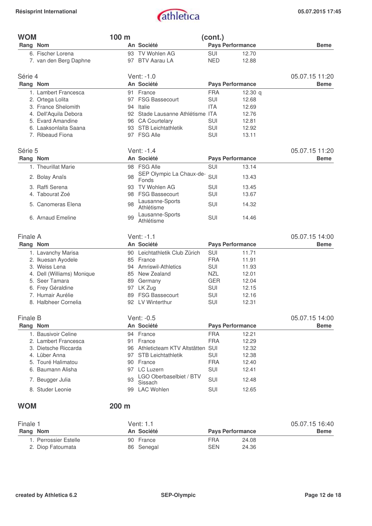

| <b>WOM</b>                 | 100 m |                                    | (cont.)    |                         |                |
|----------------------------|-------|------------------------------------|------------|-------------------------|----------------|
| Rang Nom                   |       | An Société                         |            | <b>Pays Performance</b> | <b>Beme</b>    |
| 6. Fischer Lorena          |       | 93 TV Wohlen AG                    | <b>SUI</b> | 12.70                   |                |
| 7. van den Berg Daphne     |       | 97 BTV Aarau LA                    | <b>NED</b> | 12.88                   |                |
| Série 4                    |       | Vent: -1.0                         |            |                         | 05.07.15 11:20 |
| Rang Nom                   |       | An Société                         |            | <b>Pays Performance</b> | <b>Beme</b>    |
| 1. Lambert Francesca       | 91    | France                             | <b>FRA</b> | 12.30 $q$               |                |
| 2. Ortega Lolita           | 97    | <b>FSG Bassecourt</b>              | SUI        | 12.68                   |                |
| 3. France Shelomith        |       | 94 Italie                          | <b>ITA</b> | 12.69                   |                |
| 4. Dell'Aquila Debora      |       | 92 Stade Lausanne Athlétisme ITA   |            | 12.76                   |                |
| 5. Evard Amandine          |       | 96 CA Courtelary                   | SUI        | 12.81                   |                |
| 6. Laaksonlaita Saana      |       | 93 STB Leichtathletik              | SUI        | 12.92                   |                |
| 7. Ribeaud Fiona           |       | 97 FSG Alle                        | SUI        | 13.11                   |                |
| Série 5                    |       | Vent: -1.4                         |            |                         | 05.07.15 11:20 |
| Rang Nom                   |       | An Société                         |            | <b>Pays Performance</b> | <b>Beme</b>    |
| 1. Theurillat Marie        |       | 98 FSG Alle                        | SUI        | 13.14                   |                |
| 2. Bolay Anaïs             | 98    | SEP Olympic La Chaux-de-           | SUI        | 13.43                   |                |
| 3. Raffi Serena            |       | Fonds<br><b>TV Wohlen AG</b>       |            |                         |                |
| 4. Tabourat Zoé            | 93    | 98 FSG Bassecourt                  | SUI<br>SUI | 13.45<br>13.67          |                |
|                            |       | Lausanne-Sports                    |            |                         |                |
| 5. Canomeras Elena         | 98    | Athlétisme                         | SUI        | 14.32                   |                |
| 6. Arnaud Emeline          | 99    | Lausanne-Sports<br>Athlétisme      | SUI        | 14.46                   |                |
| Finale A                   |       | Vent: -1.1                         |            |                         | 05.07.15 14:00 |
| Rang Nom                   |       | An Société                         |            | <b>Pays Performance</b> | <b>Beme</b>    |
| 1. Lavanchy Marisa         |       | 90 Leichtathletik Club Zürich      | SUI        | 11.71                   |                |
| 2. Ikuesan Ayodele         |       | 85 France                          | <b>FRA</b> | 11.91                   |                |
| 3. Weiss Lena              |       | 94 Amriswil-Athletics              | SUI        | 11.93                   |                |
| 4. Dell (Williams) Monique |       | 85 New Zealand                     | <b>NZL</b> | 12.01                   |                |
| 5. Seer Tamara             | 89    | Germany                            | <b>GER</b> | 12.04                   |                |
| 6. Frey Géraldine          |       | 97 LK Zug                          | SUI        | 12.15                   |                |
| 7. Humair Aurélie          |       | 89 FSG Bassecourt                  | SUI        | 12.16                   |                |
| 8. Halbheer Cornelia       |       | 92 LV Winterthur                   | SUI        | 12.31                   |                |
| <b>Finale B</b>            |       | Vent: -0.5                         |            |                         | 05.07.15 14:00 |
| Rang Nom                   |       | An Société                         |            | <b>Pays Performance</b> | <b>Beme</b>    |
| 1. Bausivoir Celine        |       | 94 France                          | <b>FRA</b> | 12.21                   |                |
| 2. Lambert Francesca       | 91    | France                             | <b>FRA</b> | 12.29                   |                |
| 3. Dietsche Riccarda       |       | 96 Athleticteam KTV Altstätten SUI |            | 12.32                   |                |
| 4. Lüber Anna              | 97    | <b>STB Leichtathletik</b>          | SUI        | 12.38                   |                |
| 5. Touré Halimatou         |       | 90 France                          | <b>FRA</b> | 12.40                   |                |
| 6. Baumann Alisha          |       | 97 LC Luzern                       | SUI        | 12.41                   |                |
| 7. Beugger Julia           | 93    | LGO Oberbaselbiet / BTV<br>Sissach | SUI        | 12.48                   |                |
| 8. Studer Leonie           | 99    | <b>LAC Wohlen</b>                  | SUI        | 12.65                   |                |
| <b>WOM</b>                 | 200 m |                                    |            |                         |                |
| Finale 1                   |       | Vent: 1.1                          |            |                         | 05.07.15 16:40 |
| Rang Nom                   |       | An Société                         |            | <b>Pays Performance</b> | <b>Beme</b>    |
| 1. Perrossier Estelle      |       | 90 France                          | <b>FRA</b> | 24.08                   |                |

2. Diop Fatoumata **86 Senegal** SEN 24.36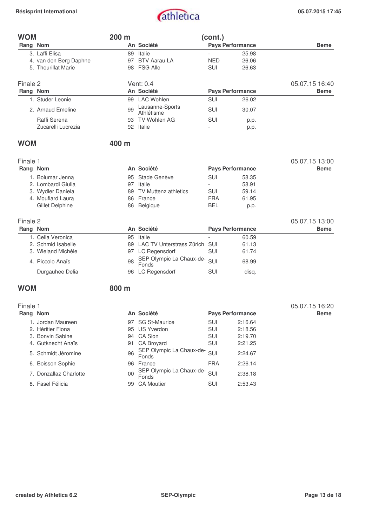

| <b>WOM</b> |                                        | 200 m    |                                   | (cont.)                      |                         |                |
|------------|----------------------------------------|----------|-----------------------------------|------------------------------|-------------------------|----------------|
| Rang Nom   |                                        |          | An Société                        |                              | <b>Pays Performance</b> | <b>Beme</b>    |
|            | 3. Laffi Elisa                         | 89       | Italie                            |                              | 25.98                   |                |
|            | 4. van den Berg Daphne                 | 97       | <b>BTV Aarau LA</b>               | <b>NED</b>                   | 26.06                   |                |
|            | 5. Theurillat Marie                    |          | 98 FSG Alle                       | SUI                          | 26.63                   |                |
| Finale 2   |                                        |          | Vent: 0.4                         |                              |                         | 05.07.15 16:40 |
| Rang Nom   |                                        |          | An Société                        |                              | <b>Pays Performance</b> | <b>Beme</b>    |
|            | 1. Studer Leonie                       | 99       | <b>LAC Wohlen</b>                 | <b>SUI</b>                   | 26.02                   |                |
|            | 2. Arnaud Emeline                      | 99       | Lausanne-Sports<br>Athlétisme     | <b>SUI</b>                   | 30.07                   |                |
|            | Raffi Serena                           |          | 93 TV Wohlen AG                   | <b>SUI</b>                   | p.p.                    |                |
|            | Zucarelli Lucrezia                     |          | 92 Italie                         |                              | p.p.                    |                |
| <b>WOM</b> |                                        | 400 m    |                                   |                              |                         |                |
| Finale 1   |                                        |          |                                   |                              |                         | 05.07.15 13:00 |
| Rang Nom   |                                        |          | An Société                        |                              | <b>Pays Performance</b> | <b>Beme</b>    |
|            |                                        |          |                                   |                              |                         |                |
|            | 1. Bolumar Jenna<br>2. Lombardi Giulia | 95<br>97 | Stade Genève<br>Italie            | <b>SUI</b><br>$\overline{a}$ | 58.35<br>58.91          |                |
|            | 3. Wydler Daniela                      |          | 89 TV Muttenz athletics           | SUI                          | 59.14                   |                |
|            | 4. Mouflard Laura                      |          | 86 France                         | <b>FRA</b>                   | 61.95                   |                |
|            | Gillet Delphine                        |          | 86 Belgique                       | <b>BEL</b>                   | p.p.                    |                |
|            |                                        |          |                                   |                              |                         |                |
| Finale 2   |                                        |          |                                   |                              |                         | 05.07.15 13:00 |
| Rang Nom   |                                        |          | An Société                        |                              | <b>Pays Performance</b> | <b>Beme</b>    |
|            | 1. Cella Veronica                      | 95       | Italie                            |                              | 60.59                   |                |
|            | 2. Schmid Isabelle                     |          | 89 LAC TV Unterstrass Zürich      | SUI                          | 61.13                   |                |
|            | 3. Wieland Michèle                     |          | 97 LC Regensdorf                  | <b>SUI</b>                   | 61.74                   |                |
|            | 4. Piccolo Anaïs                       | 98       | SEP Olympic La Chaux-de-<br>Fonds | SUI                          | 68.99                   |                |
|            | Durgauhee Delia                        |          | 96 LC Regensdorf                  | SUI                          | disq.                   |                |
| <b>WOM</b> |                                        | 800 m    |                                   |                              |                         |                |
| Finale 1   |                                        |          |                                   |                              |                         | 05.07.15 16:20 |
| Rang Nom   |                                        |          | An Société                        |                              | <b>Pays Performance</b> | <b>Beme</b>    |
|            | 1. Jordan Maureen                      |          | 97 SG St-Maurice                  | SUI                          | 2:16.64                 |                |
|            | 2. Héritier Fiona                      |          | 95 US Yverdon                     | SUI                          | 2:18.56                 |                |
|            | 3. Bonvin Sabine                       |          | 94 CA Sion                        | <b>SUI</b>                   | 2:19.70                 |                |

| 2. Héritier Fiona      |    | 95 US Yverdon                         | SUI        | 2:18.56 |
|------------------------|----|---------------------------------------|------------|---------|
| 3. Bonvin Sabine       |    | 94 CA Sion                            | <b>SUI</b> | 2:19.70 |
| 4. Gutknecht Anaïs     |    | 91 CA Broyard                         | SUI        | 2:21.25 |
| 5. Schmidt Jéromine    | 96 | SEP Olympic La Chaux-de- SUI<br>Fonds |            | 2:24.67 |
| 6. Boisson Sophie      |    | 96 France                             | <b>FRA</b> | 2:26.14 |
| 7. Donzallaz Charlotte | 00 | SEP Olympic La Chaux-de- SUI<br>Fonds |            | 2:38.18 |
| 8. Fasel Félicia       |    | 99 CA Moutier                         | SUI        | 2:53.43 |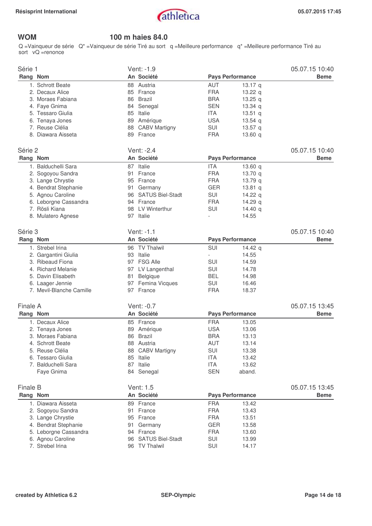

## **WOM 100 m haies 84.0**

Q =Vainqueur de série Q\* =Vainqueur de série Tiré au sort q =Meilleure performance q\* =Meilleure performance Tiré au sort vQ =renonce

| Série 1                  | Vent: -1.9          |                                  | 05.07.15 10:40 |
|--------------------------|---------------------|----------------------------------|----------------|
| Rang Nom                 | An Société          | <b>Pays Performance</b>          | <b>Beme</b>    |
| 1. Schrott Beate         | 88 Austria          | AUT<br>13.17 $q$                 |                |
| 2. Decaux Alice          | 85 France           | <b>FRA</b><br>13.22 $q$          |                |
| 3. Moraes Fabiana        | 86 Brazil           | <b>BRA</b><br>13.25 $q$          |                |
| 4. Faye Gnima            | 84<br>Senegal       | <b>SEN</b><br>13.34 q            |                |
| 5. Tessaro Giulia        | 85 Italie           | <b>ITA</b><br>13.51 $q$          |                |
| 6. Tenaya Jones          | 89 Amérique         | <b>USA</b><br>$13.54$ q          |                |
| 7. Reuse Clélia          | 88 CABV Martigny    | SUI<br>13.57 $q$                 |                |
| 8. Diawara Aisseta       | 89 France           | <b>FRA</b><br>13.60 $q$          |                |
| Série 2                  | Vent: -2.4          |                                  | 05.07.15 10:40 |
| Rang Nom                 | An Société          | <b>Pays Performance</b>          | <b>Beme</b>    |
| 1. Balduchelli Sara      | 87 Italie           | <b>ITA</b><br>13.60 $q$          |                |
| 2. Sogoyou Sandra        | 91 France           | <b>FRA</b><br>13.70 q            |                |
| 3. Lange Chrystie        | 95 France           | <b>FRA</b><br>13.79 <sub>q</sub> |                |
| 4. Bendrat Stephanie     | 91 Germany          | <b>GER</b><br>$13.81$ q          |                |
| 5. Agnou Caroline        | 96 SATUS Biel-Stadt | SUI<br>14.22 $q$                 |                |
| 6. Leborgne Cassandra    | 94 France           | <b>FRA</b><br>14.29 $q$          |                |
| 7. Rösli Kiana           | LV Winterthur<br>98 | SUI<br>14.40 q                   |                |
| 8. Mulatero Agnese       | 97<br>Italie        | 14.55                            |                |
|                          |                     |                                  |                |
| Série 3                  | Vent: $-1.1$        |                                  | 05.07.15 10:40 |
| Rang Nom                 | An Société          | <b>Pays Performance</b>          | <b>Beme</b>    |
| 1. Strebel Irina         | 96 TV Thalwil       | SUI<br>14.42 g                   |                |
| 2. Gargantini Giulia     | 93 Italie           | 14.55                            |                |
| 3. Ribeaud Fiona         | 97 FSG Alle         | <b>SUI</b><br>14.59              |                |
| 4. Richard Melanie       | 97 LV Langenthal    | SUI<br>14.78                     |                |
| 5. Davin Elisabeth       | 81<br>Belgique      | <b>BEL</b><br>14.98              |                |
| 6. Laager Jennie         | 97 Femina Vicques   | SUI<br>16.46                     |                |
| 7. Mevil-Blanche Camille | 97 France           | <b>FRA</b><br>18.37              |                |
| Finale A                 | Vent: -0.7          |                                  | 05.07.15 13:45 |
| Rang Nom                 | An Société          | <b>Pays Performance</b>          | <b>Beme</b>    |
| 1. Decaux Alice          | 85 France           | <b>FRA</b><br>13.05              |                |
| 2. Tenaya Jones          | 89 Amérique         | <b>USA</b><br>13.06              |                |
| 3. Moraes Fabiana        | 86 Brazil           | <b>BRA</b><br>13.13              |                |
| 4. Schrott Beate         | 88 Austria          | AUT<br>13.14                     |                |
| 5. Reuse Clélia          | 88 CABV Martigny    | <b>SUI</b><br>13.38              |                |
| 6. Tessaro Giulia        | 85 Italie           | <b>ITA</b>                       |                |
| 7. Balduchelli Sara      |                     | 13.42                            |                |
|                          | 87 Italie           | <b>ITA</b><br>13.62              |                |
| Faye Gnima               | 84 Senegal          | <b>SEN</b><br>aband.             |                |
| Finale B                 | Vent: 1.5           |                                  | 05.07.15 13:45 |
| Rang Nom                 | An Société          | <b>Pays Performance</b>          | <b>Beme</b>    |
| 1. Diawara Aisseta       | 89 France           | <b>FRA</b><br>13.42              |                |
| 2. Sogoyou Sandra        | 91 France           | <b>FRA</b><br>13.43              |                |
| 3. Lange Chrystie        | 95 France           | <b>FRA</b><br>13.51              |                |
| 4. Bendrat Stephanie     | 91 Germany          | <b>GER</b><br>13.58              |                |
| 5. Leborgne Cassandra    | 94 France           | <b>FRA</b><br>13.60              |                |
| 6. Agnou Caroline        | 96 SATUS Biel-Stadt | SUI<br>13.99                     |                |
| 7. Strebel Irina         | 96 TV Thalwil       | SUI<br>14.17                     |                |
|                          |                     |                                  |                |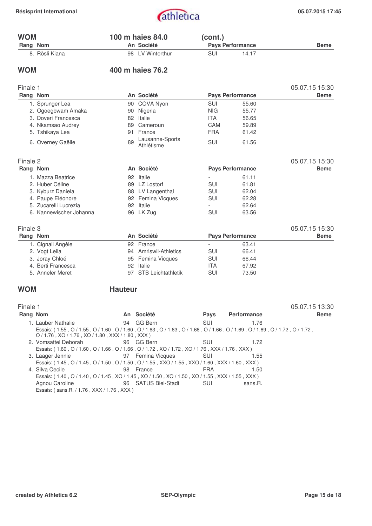| <b>WOM</b> |                         |                | 100 m haies 84.0              | (cont.)    |                         |                |
|------------|-------------------------|----------------|-------------------------------|------------|-------------------------|----------------|
| Rang Nom   |                         |                | An Société                    |            | <b>Pays Performance</b> | <b>Beme</b>    |
|            | 8. Rösli Kiana          |                | 98 LV Winterthur              | SUI        | 14.17                   |                |
| <b>WOM</b> |                         |                | 400 m haies 76.2              |            |                         |                |
| Finale 1   |                         |                |                               |            |                         | 05.07.15 15:30 |
| Rang Nom   |                         |                | An Société                    |            | <b>Pays Performance</b> | <b>Beme</b>    |
|            | 1. Sprunger Lea         |                | 90 COVA Nyon                  | <b>SUI</b> | 55.60                   |                |
|            | 2. Ogoegbwam Amaka      | 90             | Nigeria                       | <b>NIG</b> | 55.77                   |                |
|            | 3. Doveri Francesca     |                | 82 Italie                     | <b>ITA</b> | 56.65                   |                |
|            | 4. Nkamsao Audrey       | 89             | Cameroun                      | CAM        | 59.89                   |                |
|            | 5. Tshikaya Lea         | 91             | France                        | <b>FRA</b> | 61.42                   |                |
|            | 6. Overney Gaëlle       | 89             | Lausanne-Sports<br>Athlétisme | SUI        | 61.56                   |                |
| Finale 2   |                         |                |                               |            |                         | 05.07.15 15:30 |
| Rang Nom   |                         |                | An Société                    |            | <b>Pays Performance</b> | <b>Beme</b>    |
|            | 1. Mazza Beatrice       |                | 92 Italie                     |            | 61.11                   |                |
|            | 2. Huber Céline         |                | 89 LZ Lostorf                 | SUI        | 61.81                   |                |
|            | 3. Kyburz Daniela       |                | 88 LV Langenthal              | SUI        | 62.04                   |                |
|            | 4. Paupe Eléonore       |                | 92 Femina Vicques             | SUI        | 62.28                   |                |
|            | 5. Zucarelli Lucrezia   |                | 92 Italie                     |            | 62.64                   |                |
|            | 6. Kannewischer Johanna |                | 96 LK Zug                     | SUI        | 63.56                   |                |
| Finale 3   |                         |                |                               |            |                         | 05.07.15 15:30 |
| Rang Nom   |                         |                | An Société                    |            | <b>Pays Performance</b> | <b>Beme</b>    |
|            | 1. Cignali Angèle       |                | 92 France                     |            | 63.41                   |                |
|            | 2. Vogt Leila           |                | 94 Amriswil-Athletics         | SUI        | 66.41                   |                |
|            | 3. Joray Chloé          |                | 95 Femina Vicques             | SUI        | 66.44                   |                |
|            | 4. Berti Francesca      |                | 92 Italie                     | <b>ITA</b> | 67.92                   |                |
|            | 5. Anneler Meret        |                | 97 STB Leichtathletik         | SUI        | 73.50                   |                |
| <b>WOM</b> |                         | <b>Hauteur</b> |                               |            |                         |                |
| Finale 1   |                         |                |                               |            |                         | 05.07.15 13:30 |

| Rang Nom                                                                                                                                                                                | An Société          | <b>Pays</b> | <b>Performance</b> | <b>Beme</b> |
|-----------------------------------------------------------------------------------------------------------------------------------------------------------------------------------------|---------------------|-------------|--------------------|-------------|
| 1. Lauber Nathalie                                                                                                                                                                      | 94 GG Bern          | SUI         | 1.76               |             |
| Essais: (1.55, O / 1.55, O / 1.60, O / 1.60, O / 1.63, O / 1.63, O / 1.66, O / 1.66, O / 1.69, O / 1.69, O / 1.72, O / 1.72,<br>$O/1.76$ , XO $/1.76$ , XO $/1.80$ , XXX $/1.80$ , XXX) |                     |             |                    |             |
| 2. Vomsattel Deborah                                                                                                                                                                    | 96 GG Bern          | SUI         | 1.72               |             |
| Essais: (1.60, O / 1.60, O / 1.66, O / 1.66, O / 1.72, XO / 1.72, XO / 1.76, XXX / 1.76, XXX )                                                                                          |                     |             |                    |             |
| 3. Laager Jennie <b>3. Example 197 Femina Vicques</b> SUI                                                                                                                               |                     |             | 1.55               |             |
| Essais: (1.45, O / 1.45, O / 1.50, O / 1.50, O / 1.55, XXO / 1.55, XXO / 1.60, XXX / 1.60, XXX)                                                                                         |                     |             |                    |             |
| 4. Silva Cecile                                                                                                                                                                         | 98 France           | <b>FRA</b>  | 1.50               |             |
| Essais: (1.40, O / 1.40, O / 1.45, XO / 1.45, XO / 1.50, XO / 1.50, XO / 1.55, XXX / 1.55, XXX )                                                                                        |                     |             |                    |             |
| Agnou Caroline                                                                                                                                                                          | 96 SATUS Biel-Stadt | – SUI       | sans.R.            |             |
| Essais: (sans.R. / 1.76, XXX / 1.76, XXX)                                                                                                                                               |                     |             |                    |             |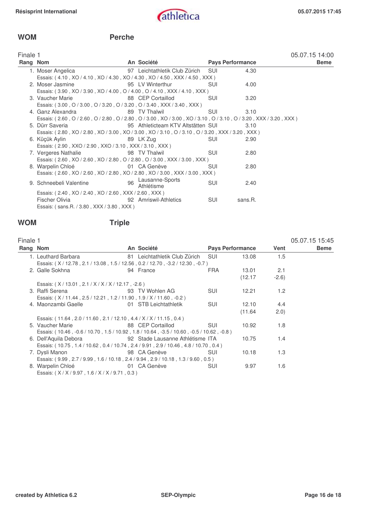### **WOM Perche**

| Finale 1 |                                                                                                                    |    |                                    |                         |         | 05.07.15 14:00 |
|----------|--------------------------------------------------------------------------------------------------------------------|----|------------------------------------|-------------------------|---------|----------------|
| Rang Nom |                                                                                                                    |    | An Société                         | <b>Pays Performance</b> |         | <b>Beme</b>    |
|          | 1. Moser Angelica                                                                                                  |    | 97 Leichtathletik Club Zürich SUI  |                         | 4.30    |                |
|          | Essais: (4.10, XO / 4.10, XO / 4.30, XO / 4.30, XO / 4.50, XXX / 4.50, XXX)                                        |    |                                    |                         |         |                |
|          | 2. Moser Jasmine                                                                                                   |    | 95 LV Winterthur                   | SUI                     | 4.00    |                |
|          | Essais: (3.90, XO / 3.90, XO / 4.00, O / 4.00, O / 4.10, XXX / 4.10, XXX)                                          |    |                                    |                         |         |                |
|          | 3. Vaucher Marie                                                                                                   |    | 88 CEP Cortaillod                  | <b>SUI</b>              | 3.20    |                |
|          | Essais: (3.00, O / 3.00, O / 3.20, O / 3.20, O / 3.40, XXX / 3.40, XXX )                                           |    |                                    |                         |         |                |
|          | 4. Ganz Alexandra                                                                                                  |    | 89 TV Thalwil                      | <b>SUI</b>              | 3.10    |                |
|          | Essais: (2.60, O / 2.60, O / 2.80, O / 2.80, O / 3.00, XO / 3.00, XO / 3.10, O / 3.10, O / 3.20, XXX / 3.20, XXX ) |    |                                    |                         |         |                |
|          | 5. Dürr Saveria                                                                                                    |    | 95 Athleticteam KTV Altstätten SUI |                         | 3.10    |                |
|          | Essais: (2.80, XO / 2.80, XO / 3.00, XO / 3.00, XO / 3.10, O / 3.10, O / 3.20, XXX / 3.20, XXX )                   |    |                                    |                         |         |                |
|          | 6. Küçük Aylin                                                                                                     |    | 89 LK Zug                          | <b>SUI</b>              | 2.90    |                |
|          | Essais: (2.90, XXO / 2.90, XXO / 3.10, XXX / 3.10, XXX)                                                            |    |                                    |                         |         |                |
|          | 7. Vergeres Nathalie                                                                                               |    | 98 TV Thalwil                      | SUI                     | 2.80    |                |
|          | Essais: (2.60, XO / 2.60, XO / 2.80, O / 2.80, O / 3.00, XXX / 3.00, XXX)                                          |    |                                    |                         |         |                |
|          | 8. Warpelin Chloé                                                                                                  |    | 01 CA Genève                       | <b>SUI</b>              | 2.80    |                |
|          | Essais: (2.60, XO / 2.60, XO / 2.80, XO / 2.80, XO / 3.00, XXX / 3.00, XXX)                                        |    |                                    |                         |         |                |
|          | 9. Schneebeli Valentine                                                                                            | 96 | Lausanne-Sports<br>Athlétisme      | <b>SUI</b>              | 2.40    |                |
|          | Essais: (2.40, XO / 2.40, XO / 2.60, XXX / 2.60, XXX)                                                              |    |                                    |                         |         |                |
|          | Fischer Olivia                                                                                                     |    | 92 Amriswil-Athletics              | SUI                     | sans.R. |                |
|          | Essais: (sans.R. / 3.80, XXX / 3.80, XXX)                                                                          |    |                                    |                         |         |                |
|          |                                                                                                                    |    |                                    |                         |         |                |

## **WOM Triple**

| Finale 1 |                                                                                           |                               |                         |         |        | 05.07.15 15:45 |
|----------|-------------------------------------------------------------------------------------------|-------------------------------|-------------------------|---------|--------|----------------|
| Rang Nom |                                                                                           | An Société                    | <b>Pays Performance</b> |         | Vent   | <b>Beme</b>    |
|          | 1. Leuthard Barbara                                                                       | 81 Leichtathletik Club Zürich | – SUI                   | 13.08   | 1.5    |                |
|          | Essais: (X/12.78, 2.1/13.08, 1.5/12.56, 0.2/12.70, -3.2/12.30, -0.7)                      |                               |                         |         |        |                |
|          | 2. Galle Sokhna                                                                           | 94 France                     | FRA                     | 13.01   | 2.1    |                |
|          |                                                                                           |                               |                         | (12.17) | $-2.6$ |                |
|          | Essais: (X/13.01, 2.1/X/X/X/12.17, -2.6)                                                  |                               |                         |         |        |                |
|          | 3. Raffi Serena                                                                           | 93 TV Wohlen AG               | SUI                     | 12.21   | 1.2    |                |
|          | Essais: (X/11.44, 2.5/12.21, 1.2/11.90, 1.9/X/11.60, -0.2)                                |                               |                         |         |        |                |
|          | 4. Maonzambi Gaelle                                                                       | 01 STB Leichtathletik         | <b>SUI</b>              | 12.10   | 4.4    |                |
|          |                                                                                           |                               |                         | (11.64) | (2.0)  |                |
|          | Essais: (11.64, 2.0 / 11.60, 2.1 / 12.10, 4.4 / X / X / 11.15, 0.4)                       |                               |                         |         |        |                |
|          | 5. Vaucher Marie                                                                          | 88 CEP Cortaillod             | SUI                     | 10.92   | 1.8    |                |
|          | Essais: (10.46, -0.6 / 10.70, 1.5 / 10.92, 1.8 / 10.64, -3.5 / 10.60, -0.5 / 10.62, -0.8) |                               |                         |         |        |                |
|          | 6. Dell'Aquila Debora                         92 Stade Lausanne Athlétisme ITA            |                               |                         | 10.75   | 1.4    |                |
|          | Essais: (10.75, 1.4 / 10.62, 0.4 / 10.74, 2.4 / 9.91, 2.9 / 10.46, 4.8 / 10.70, 0.4)      |                               |                         |         |        |                |
|          | 7. Dysli Manon                                                                            | 98 CA Genève                  | SUI                     | 10.18   | 1.3    |                |
|          | Essais: (9.99, 2.7 / 9.99, 1.6 / 10.18, 2.4 / 9.94, 2.9 / 10.18, 1.3 / 9.60, 0.5)         |                               |                         |         |        |                |
|          | <b>Example 12 O1 CA Genève</b><br>8. Warpelin Chloé                                       |                               | <b>SUI</b>              | 9.97    | 1.6    |                |
|          | Essais: (X/X/9.97, 1.6/X/X/9.71, 0.3)                                                     |                               |                         |         |        |                |
|          |                                                                                           |                               |                         |         |        |                |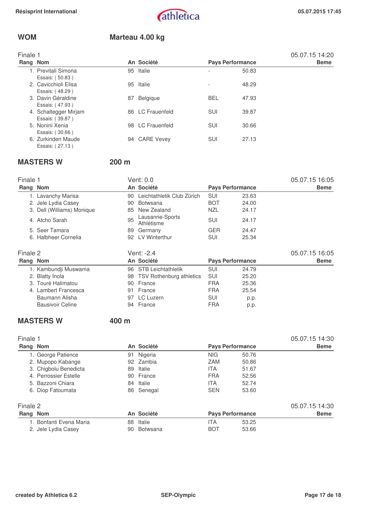05.07.15 14:20

## **WOM Marteau 4.00 kg**

| Finale 1 |                     |
|----------|---------------------|
| Rang Nom |                     |
|          | 1. Previtali Simona |

| Rang Nom              |    | An Société       | <b>Pays Performance</b>  |       | <b>Beme</b> |
|-----------------------|----|------------------|--------------------------|-------|-------------|
| 1. Previtali Simona   |    | 95 Italie        | $\overline{\phantom{0}}$ | 50.83 |             |
| Essais: (50.83)       |    |                  |                          |       |             |
| 2. Cavicchioli Elisa  | 95 | Italie           | $\overline{\phantom{0}}$ | 48.29 |             |
| Essais: (48.29)       |    |                  |                          |       |             |
| 3. Davin Géraldine    | 87 | <b>Belgique</b>  | <b>BEL</b>               | 47.93 |             |
| Essais: (47.93)       |    |                  |                          |       |             |
| 4. Schaltegger Mirjam |    | 86 LC Frauenfeld | <b>SUI</b>               | 39.87 |             |
| Essais: (39.87)       |    |                  |                          |       |             |
| 5. Nonini Xenia       |    | 98 LC Frauenfeld | <b>SUI</b>               | 30.66 |             |
| Essais: (30.66)       |    |                  |                          |       |             |
| 6. Zurkinden Maude    |    | 94 CARE Vevey    | <b>SUI</b>               | 27.13 |             |
| Essais: (27.13)       |    |                  |                          |       |             |

## **MASTERS W 200 m**

| Finale 1 |                            |    | Vent: 0.0                       |            |                         | 05.07.15 16:05 |
|----------|----------------------------|----|---------------------------------|------------|-------------------------|----------------|
| Rang Nom |                            |    | An Société                      |            | <b>Pays Performance</b> | <b>Beme</b>    |
|          | 1. Lavanchy Marisa         | 90 | Leichtathletik Club Zürich      | SUI        | 23.63                   |                |
|          | 2. Jele Lydia Casey        | 90 | <b>Botwsana</b>                 | <b>BOT</b> | 24.00                   |                |
|          | 3. Dell (Williams) Monique | 85 | New Zealand                     | <b>NZL</b> | 24.17                   |                |
|          | 4. Atcho Sarah             | 95 | Lausanne-Sports<br>Athlétisme   | SUI        | 24.17                   |                |
|          | 5. Seer Tamara             | 89 | Germany                         | <b>GER</b> | 24.47                   |                |
|          | 6. Halbheer Cornelia       | 92 | LV Winterthur                   | SUI        | 25.34                   |                |
| Finale 2 |                            |    | Vent: -2.4                      |            |                         | 05.07.15 16:05 |
| Rang Nom |                            |    | An Société                      |            | <b>Pays Performance</b> | <b>Beme</b>    |
|          | 1. Kambundji Muswama       |    | 96 STB Leichtathletik           | SUI        | 24.79                   |                |
|          | 2. Blatty Inola            | 98 | <b>TSV Rothenburg athletics</b> | SUI        | 25.20                   |                |
|          | 3. Touré Halimatou         | 90 | France                          | <b>FRA</b> | 25.36                   |                |
|          | 4. Lambert Francesca       | 91 | France                          | <b>FRA</b> | 25.54                   |                |
|          | Baumann Alisha             | 97 | LC Luzern                       | <b>SUI</b> | p.p.                    |                |
|          | <b>Bausivoir Celine</b>    |    | 94 France                       | <b>FRA</b> | p.p.                    |                |

## **MASTERS W** 400 m

| Finale 1                |                |                         | 05.07.15 14:30 |
|-------------------------|----------------|-------------------------|----------------|
| Rang Nom                | An Société     | <b>Pays Performance</b> | <b>Beme</b>    |
| 1. George Patience      | Nigeria<br>91  | <b>NIG</b><br>50.76     |                |
| 2. Mupopo Kabange       | 92 Zambia      | ZAM<br>50.86            |                |
| 3. Chigbolu Benedicta   | Italie<br>89   | <b>ITA</b><br>51.67     |                |
| 4. Perrossier Estelle   | 90 France      | <b>FRA</b><br>52.56     |                |
| 5. Bazzoni Chiara       | Italie<br>84   | 52.74<br><b>ITA</b>     |                |
| 6. Diop Fatoumata       | 86 Senegal     | <b>SEN</b><br>53.60     |                |
| Finale 2                |                |                         | 05.07.15 14:30 |
| Rang Nom                | An Société     | <b>Pays Performance</b> | <b>Beme</b>    |
| 1. Bonfanti Evena Maria | Italie<br>88   | <b>ITA</b><br>53.25     |                |
| 2. Jele Lydia Casey     | Botwsana<br>90 | <b>BOT</b><br>53.66     |                |